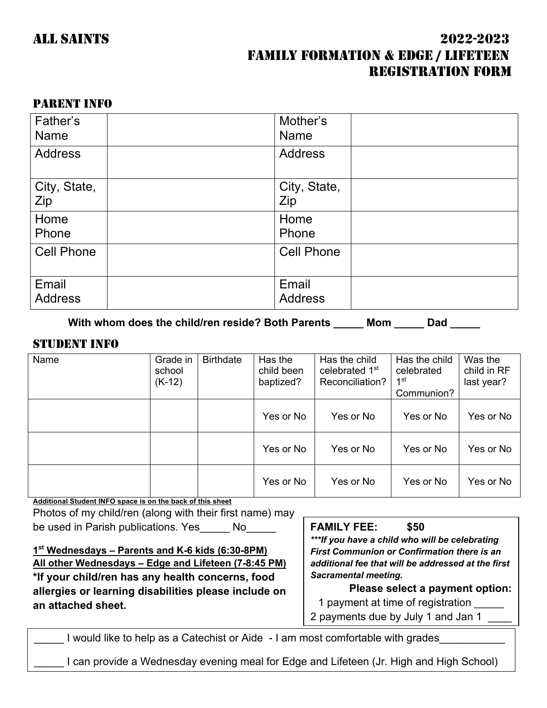# ALL SAINTS 2022-2023 FAMILY FORMATION & EDGE / LIFETEEN REGISTRATION FORM

### PARENT INFO

| Father's<br><b>Name</b> | Mother's<br><b>Name</b> |  |
|-------------------------|-------------------------|--|
| <b>Address</b>          | <b>Address</b>          |  |
| City, State,<br>Zip     | City, State,<br>Zip     |  |
| Home<br>Phone           | Home<br>Phone           |  |
| <b>Cell Phone</b>       | <b>Cell Phone</b>       |  |
| Email<br><b>Address</b> | Email<br><b>Address</b> |  |

With whom does the child/ren reside? Both Parents \_\_\_\_\_ Mom \_\_\_\_\_ Dad \_\_\_\_\_

#### STUDENT INFO

| Name | Grade in<br>school<br>$(K-12)$ | <b>Birthdate</b> | Has the<br>child been<br>baptized? | Has the child<br>celebrated 1 <sup>st</sup><br>Reconciliation? | Has the child<br>celebrated<br>1st<br>Communion? | Was the<br>child in RF<br>last year? |
|------|--------------------------------|------------------|------------------------------------|----------------------------------------------------------------|--------------------------------------------------|--------------------------------------|
|      |                                |                  | Yes or No                          | Yes or No                                                      | Yes or No                                        | Yes or No                            |
|      |                                |                  | Yes or No                          | Yes or No                                                      | Yes or No                                        | Yes or No                            |
|      |                                |                  | Yes or No                          | Yes or No                                                      | Yes or No                                        | Yes or No                            |

**Additional Student INFO space is on the back of this sheet** Photos of my child/ren (along with their first name) may be used in Parish publications. Yes No

**1st Wednesdays – Parents and K-6 kids (6:30-8PM) All other Wednesdays – Edge and Lifeteen (7-8:45 PM) \*If your child/ren has any health concerns, food allergies or learning disabilities please include on an attached sheet.**

**FAMILY FEE: \$50**

*\*\*\*If you have a child who will be celebrating First Communion or Confirmation there is an additional fee that will be addressed at the first Sacramental meeting.*

**Please select a payment option:** 1 payment at time of registration 2 payments due by July 1 and Jan 1

I would like to help as a Catechist or Aide - I am most comfortable with grades

I can provide a Wednesday evening meal for Edge and Lifeteen (Jr. High and High School)